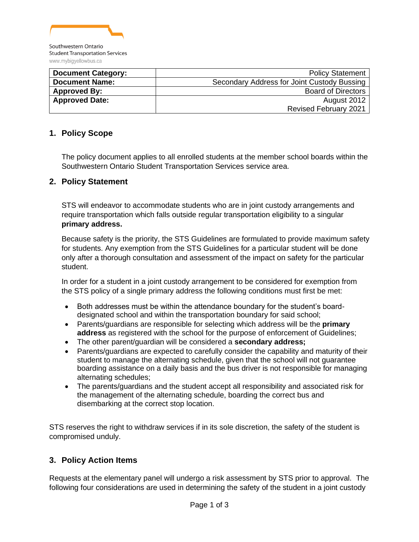

| <b>Document Category:</b> | <b>Policy Statement</b>                     |
|---------------------------|---------------------------------------------|
| <b>Document Name:</b>     | Secondary Address for Joint Custody Bussing |
| <b>Approved By:</b>       | <b>Board of Directors</b>                   |
| <b>Approved Date:</b>     | August 2012                                 |
|                           | <b>Revised February 2021</b>                |

### **1. Policy Scope**

The policy document applies to all enrolled students at the member school boards within the Southwestern Ontario Student Transportation Services service area.

#### **2. Policy Statement**

STS will endeavor to accommodate students who are in joint custody arrangements and require transportation which falls outside regular transportation eligibility to a singular **primary address.**

Because safety is the priority, the STS Guidelines are formulated to provide maximum safety for students. Any exemption from the STS Guidelines for a particular student will be done only after a thorough consultation and assessment of the impact on safety for the particular student.

In order for a student in a joint custody arrangement to be considered for exemption from the STS policy of a single primary address the following conditions must first be met:

- Both addresses must be within the attendance boundary for the student's boarddesignated school and within the transportation boundary for said school;
- Parents/guardians are responsible for selecting which address will be the **primary address** as registered with the school for the purpose of enforcement of Guidelines;
- The other parent/guardian will be considered a **secondary address;**
- Parents/guardians are expected to carefully consider the capability and maturity of their student to manage the alternating schedule, given that the school will not guarantee boarding assistance on a daily basis and the bus driver is not responsible for managing alternating schedules;
- The parents/guardians and the student accept all responsibility and associated risk for the management of the alternating schedule, boarding the correct bus and disembarking at the correct stop location.

STS reserves the right to withdraw services if in its sole discretion, the safety of the student is compromised unduly.

### **3. Policy Action Items**

Requests at the elementary panel will undergo a risk assessment by STS prior to approval. The following four considerations are used in determining the safety of the student in a joint custody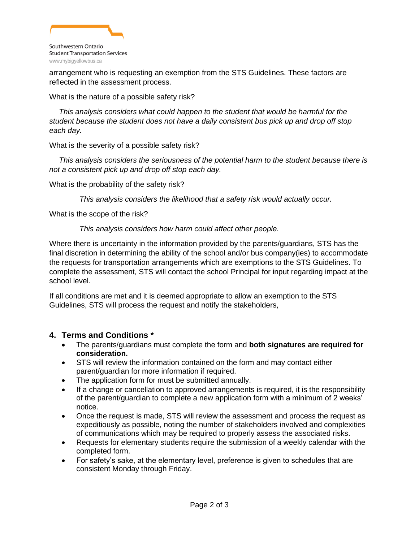

arrangement who is requesting an exemption from the STS Guidelines. These factors are reflected in the assessment process.

What is the nature of a possible safety risk?

*This analysis considers what could happen to the student that would be harmful for the student because the student does not have a daily consistent bus pick up and drop off stop each day.*

What is the severity of a possible safety risk?

*This analysis considers the seriousness of the potential harm to the student because there is not a consistent pick up and drop off stop each day.*

What is the probability of the safety risk?

*This analysis considers the likelihood that a safety risk would actually occur.*

What is the scope of the risk?

#### *This analysis considers how harm could affect other people.*

Where there is uncertainty in the information provided by the parents/guardians, STS has the final discretion in determining the ability of the school and/or bus company(ies) to accommodate the requests for transportation arrangements which are exemptions to the STS Guidelines. To complete the assessment, STS will contact the school Principal for input regarding impact at the school level.

If all conditions are met and it is deemed appropriate to allow an exemption to the STS Guidelines, STS will process the request and notify the stakeholders,

### **4. Terms and Conditions \***

- The parents/guardians must complete the form and **both signatures are required for consideration.**
- STS will review the information contained on the form and may contact either parent/guardian for more information if required.
- The application form for must be submitted annually.
- If a change or cancellation to approved arrangements is required, it is the responsibility of the parent/guardian to complete a new application form with a minimum of 2 weeks' notice.
- Once the request is made, STS will review the assessment and process the request as expeditiously as possible, noting the number of stakeholders involved and complexities of communications which may be required to properly assess the associated risks.
- Requests for elementary students require the submission of a weekly calendar with the completed form.
- For safety's sake, at the elementary level, preference is given to schedules that are consistent Monday through Friday.